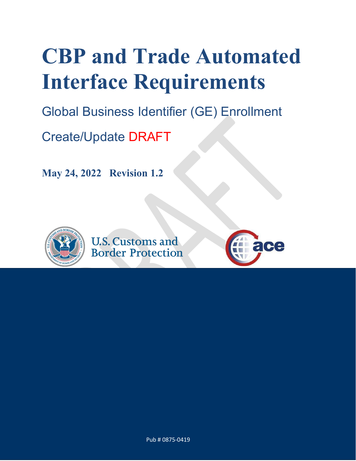# **CBP and Trade Automated Interface Requirements**

Global Business Identifier (GE) Enrollment

Create/Update DRAFT

**May 24, 2022 Revision 1.2**



**U.S. Customs and Border Protection** 



Pub # 0875-0419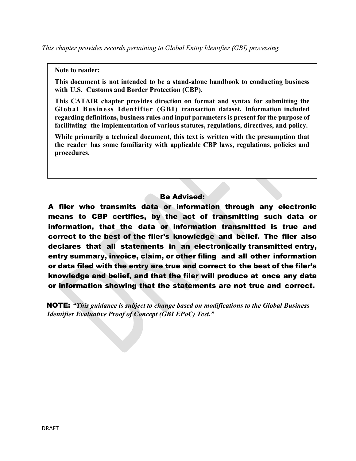#### **Note to reader:**

**This document is not intended to be a stand-alone handbook to conducting business with U.S. Customs and Border Protection (CBP).**

**This CATAIR chapter provides direction on format and syntax for submitting the Global Business Identifier (GBI) transaction dataset. Information included regarding definitions, business rules and input parameters is present for the purpose of facilitating the implementation of various statutes, regulations, directives, and policy.**

**While primarily a technical document, this text is written with the presumption that the reader has some familiarity with applicable CBP laws, regulations, policies and procedures.**

#### Be Advised:

A filer who transmits data or information through any electronic means to CBP certifies, by the act of transmitting such data or information, that the data or information transmitted is true and correct to the best of the filer's knowledge and belief. The filer also declares that all statements in an electronically transmitted entry, entry summary, invoice, claim, or other filing and all other information or data filed with the entry are true and correct to the best of the filer's knowledge and belief, and that the filer will produce at once any data or information showing that the statements are not true and correct.

 NOTE: *"This guidance is subject to change based on modifications to the Global Business Identifier Evaluative Proof of Concept (GBI EPoC) Test."*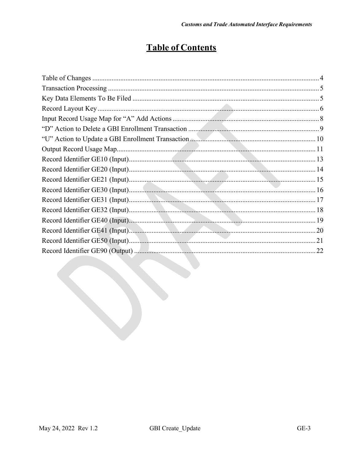# **Table of Contents**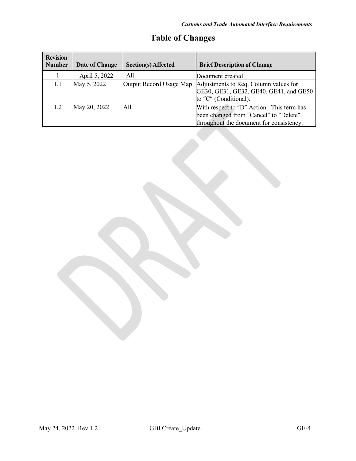<span id="page-3-0"></span>

| <b>Revision</b><br><b>Number</b> | Date of Change | <b>Section(s) Affected</b> | <b>Brief Description of Change</b>                                                                                              |
|----------------------------------|----------------|----------------------------|---------------------------------------------------------------------------------------------------------------------------------|
|                                  | April 5, 2022  | All                        | Document created                                                                                                                |
| 1.1                              | May 5, 2022    | Output Record Usage Map    | Adjustments to Req. Column values for<br>GE30, GE31, GE32, GE40, GE41, and GE50<br>to "C" (Conditional).                        |
| 1.2                              | May 20, 2022   | A11                        | With respect to "D" Action: This term has<br>been changed from "Cancel" to "Delete"<br>throughout the document for consistency. |

# **Table of Changes**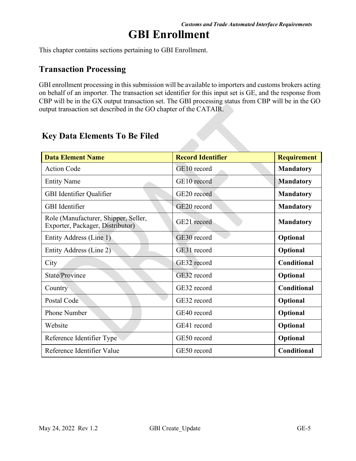# **GBI Enrollment**

This chapter contains sections pertaining to GBI Enrollment.

## <span id="page-4-0"></span>**Transaction Processing**

GBI enrollment processing in this submission will be available to importers and customs brokers acting on behalf of an importer. The transaction set identifier for this input set is GE, and the response from CBP will be in the GX output transaction set. The GBI processing status from CBP will be in the GO output transaction set described in the GO chapter of the CATAIR.

| <b>Data Element Name</b>                                                 | <b>Record Identifier</b> | <b>Requirement</b> |
|--------------------------------------------------------------------------|--------------------------|--------------------|
| <b>Action Code</b>                                                       | GE10 record              | <b>Mandatory</b>   |
| <b>Entity Name</b>                                                       | GE10 record              | <b>Mandatory</b>   |
| GBI Identifier Qualifier                                                 | GE20 record              | <b>Mandatory</b>   |
| <b>GBI</b> Identifier                                                    | GE20 record              | <b>Mandatory</b>   |
| Role (Manufacturer, Shipper, Seller,<br>Exporter, Packager, Distributor) | GE21 record              | <b>Mandatory</b>   |
| Entity Address (Line 1)                                                  | GE30 record              | Optional           |
| Entity Address (Line 2)                                                  | GE31 record              | Optional           |
| City                                                                     | GE32 record              | Conditional        |
| State/Province                                                           | GE32 record              | Optional           |
| Country                                                                  | GE32 record              | Conditional        |
| Postal Code                                                              | GE32 record              | Optional           |
| Phone Number                                                             | GE40 record              | Optional           |
| Website                                                                  | GE41 record              | Optional           |
| Reference Identifier Type                                                | GE50 record              | Optional           |
| Reference Identifier Value                                               | GE50 record              | Conditional        |

## <span id="page-4-1"></span>**Key Data Elements To Be Filed**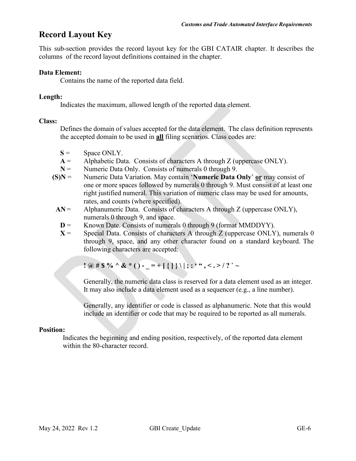## <span id="page-5-0"></span>**Record Layout Key**

This sub-section provides the record layout key for the GBI CATAIR chapter. It describes the columns of the record layout definitions contained in the chapter.

#### **Data Element:**

Contains the name of the reported data field.

#### **Length:**

Indicates the maximum, allowed length of the reported data element.

#### **Class:**

Defines the domain of values accepted for the data element. The class definition represents the accepted domain to be used in **all** filing scenarios. Class codes are:

- $S =$  Space ONLY.
- **A** = Alphabetic Data. Consists of characters A through Z (uppercase ONLY).
- **N** = Numeric Data Only. Consists of numerals 0 through 9.
- **(S)N** = Numeric Data Variation. May contain '**Numeric Data Only**' **or** may consist of one or more spaces followed by numerals 0 through 9. Must consist of at least one right justified numeral. This variation of numeric class may be used for amounts, rates, and counts (where specified).
- $AN =$  Alphanumeric Data. Consists of characters A through Z (uppercase ONLY), numerals 0 through 9, and space.
- **D** = Known Date. Consists of numerals 0 through 9 (format MMDDYY).
- $X =$  Special Data. Consists of characters A through Z (uppercase ONLY), numerals 0 through 9, space, and any other character found on a standard keyboard. The following characters are accepted:

**!**  $\omega$  # \$ % ^ & \* () - \_ = + [ { ] } \ | ; : ' ", < . > / ? ` ~

Generally, the numeric data class is reserved for a data element used as an integer. It may also include a data element used as a sequencer (e.g., a line number).

Generally, any identifier or code is classed as alphanumeric. Note that this would include an identifier or code that may be required to be reported as all numerals.

#### **Position:**

Indicates the beginning and ending position, respectively, of the reported data element within the 80-character record.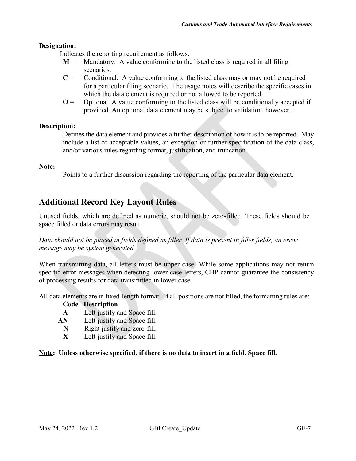#### **Designation:**

Indicates the reporting requirement as follows:

- $M =$  Mandatory. A value conforming to the listed class is required in all filing scenarios.
- $C =$  Conditional. A value conforming to the listed class may or may not be required for a particular filing scenario. The usage notes will describe the specific cases in which the data element is required or not allowed to be reported.
- $\mathbf{O} =$  Optional. A value conforming to the listed class will be conditionally accepted if provided. An optional data element may be subject to validation, however.

#### **Description:**

Defines the data element and provides a further description of how it is to be reported. May include a list of acceptable values, an exception or further specification of the data class, and/or various rules regarding format, justification, and truncation.

#### **Note:**

Points to a further discussion regarding the reporting of the particular data element.

## **Additional Record Key Layout Rules**

Unused fields, which are defined as numeric, should not be zero-filled. These fields should be space filled or data errors may result.

*Data should not be placed in fields defined as filler. If data is present in filler fields, an error message may be system generated.*

When transmitting data, all letters must be upper case. While some applications may not return specific error messages when detecting lower-case letters, CBP cannot guarantee the consistency of processing results for data transmitted in lower case.

All data elements are in fixed-length format. If all positions are not filled, the formatting rules are:

#### **Code Description**

- **A** Left justify and Space fill.
- **AN** Left justify and Space fill.
	- **N** Right justify and zero-fill.<br>**X** Left justify and Space fill.
	- Left justify and Space fill.

#### **Note: Unless otherwise specified, if there is no data to insert in a field, Space fill.**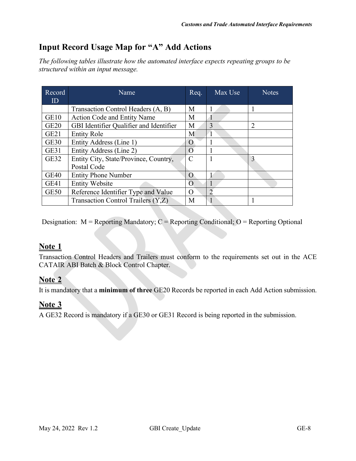# <span id="page-7-0"></span>**Input Record Usage Map for "A" Add Actions**

*The following tables illustrate how the automated interface expects repeating groups to be structured within an input message.*

| Record<br>ID     | Name                                    | Req.     | Max Use | <b>Notes</b>   |
|------------------|-----------------------------------------|----------|---------|----------------|
|                  |                                         |          |         |                |
|                  | Transaction Control Headers (A, B)      | M        |         |                |
| GE10             | <b>Action Code and Entity Name</b>      | M        |         |                |
| <b>GE20</b>      | GBI Identifier Qualifier and Identifier | M        | 3       | $\overline{2}$ |
| GE <sub>21</sub> | <b>Entity Role</b>                      | M        |         |                |
| <b>GE30</b>      | Entity Address (Line 1)                 | O        |         |                |
| GE31             | Entity Address (Line 2)                 | O        |         |                |
| <b>GE32</b>      | Entity City, State/Province, Country,   |          |         | 3              |
|                  | Postal Code                             |          |         |                |
| <b>GE40</b>      | <b>Entity Phone Number</b>              |          |         |                |
| GE41             | <b>Entity Website</b>                   |          |         |                |
| <b>GE50</b>      | Reference Identifier Type and Value     | $\Omega$ | ◠       |                |
|                  | Transaction Control Trailers (Y,Z)      | M        |         |                |

Designation:  $M =$  Reporting Mandatory;  $C =$  Reporting Conditional;  $O =$  Reporting Optional

## **Note 1**

Transaction Control Headers and Trailers must conform to the requirements set out in the ACE CATAIR ABI Batch & Block Control Chapter.

## **Note 2**

It is mandatory that a **minimum of three** GE20 Records be reported in each Add Action submission.

#### **Note 3**

A GE32 Record is mandatory if a GE30 or GE31 Record is being reported in the submission.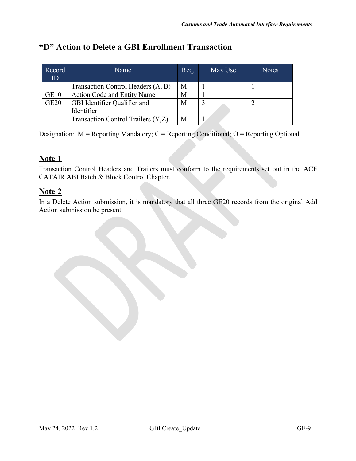# <span id="page-8-0"></span>**"D" Action to Delete a GBI Enrollment Transaction**

| Record<br>ID     | Name                               | Req. | Max Use | <b>Notes</b> |
|------------------|------------------------------------|------|---------|--------------|
|                  | Transaction Control Headers (A, B) | М    |         |              |
| GE <sub>10</sub> | <b>Action Code and Entity Name</b> | М    |         |              |
| <b>GE20</b>      | GBI Identifier Qualifier and       | М    |         |              |
|                  | Identifier                         |      |         |              |
|                  | Transaction Control Trailers (Y,Z) | М    |         |              |

Designation:  $M =$  Reporting Mandatory;  $C =$  Reporting Conditional;  $O =$  Reporting Optional

## **Note 1**

Transaction Control Headers and Trailers must conform to the requirements set out in the ACE CATAIR ABI Batch & Block Control Chapter.

## **Note 2**

In a Delete Action submission, it is mandatory that all three GE20 records from the original Add Action submission be present.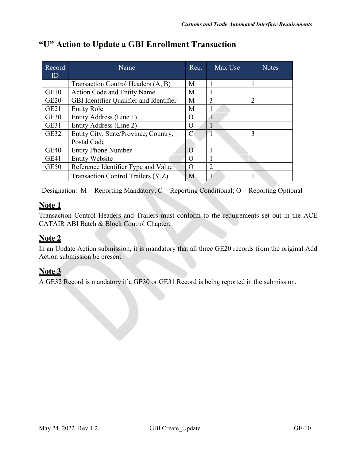| Record           | Name                                    | Req.     | Max Use                 | <b>Notes</b>   |
|------------------|-----------------------------------------|----------|-------------------------|----------------|
| ID               |                                         |          |                         |                |
|                  | Transaction Control Headers (A, B)      | М        | 1                       |                |
| GE10             | <b>Action Code and Entity Name</b>      | М        |                         |                |
| <b>GE20</b>      | GBI Identifier Qualifier and Identifier | M        | 3                       | $\overline{2}$ |
| GE <sub>21</sub> | <b>Entity Role</b>                      | М        |                         |                |
| <b>GE30</b>      | Entity Address (Line 1)                 | $\Omega$ |                         |                |
| GE31             | Entity Address (Line 2)                 | O        |                         |                |
| GE32             | Entity City, State/Province, Country,   | C        | $\overline{\mathbf{1}}$ | 3              |
|                  | Postal Code                             |          |                         |                |
| <b>GE40</b>      | <b>Entity Phone Number</b>              | $\Omega$ |                         |                |
| GE41             | <b>Entity Website</b>                   | O        |                         |                |
| <b>GE50</b>      | Reference Identifier Type and Value     | O        | $\overline{2}$          |                |
|                  | Transaction Control Trailers (Y,Z)      | M        |                         |                |

# <span id="page-9-0"></span>**"U" Action to Update a GBI Enrollment Transaction**

Designation: M = Reporting Mandatory; C = Reporting Conditional; O = Reporting Optional

## **Note 1**

Transaction Control Headers and Trailers must conform to the requirements set out in the ACE CATAIR ABI Batch & Block Control Chapter.

## **Note 2**

In an Update Action submission, it is mandatory that all three GE20 records from the original Add Action submission be present.

## **Note 3**

A GE32 Record is mandatory if a GE30 or GE31 Record is being reported in the submission.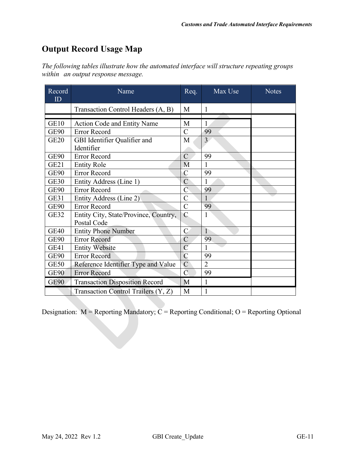# <span id="page-10-0"></span>**Output Record Usage Map**

*The following tables illustrate how the automated interface will structure repeating groups within an output response message.*

| Record<br>ID | Name                                  | Req.           | Max Use        | <b>Notes</b> |
|--------------|---------------------------------------|----------------|----------------|--------------|
|              | Transaction Control Headers (A, B)    | M              | 1              |              |
|              |                                       |                |                |              |
| GE10         | Action Code and Entity Name           | M              |                |              |
| <b>GE90</b>  | <b>Error Record</b>                   | $\mathbf C$    | 99             |              |
| <b>GE20</b>  | GBI Identifier Qualifier and          | M              | $\overline{3}$ |              |
|              | Identifier                            |                |                |              |
| GE90         | Error Record                          | $\mathcal{C}$  | 99             |              |
| <b>GE21</b>  | <b>Entity Role</b>                    | M              | 1              |              |
| <b>GE90</b>  | Error Record                          | $\overline{C}$ | 99             |              |
| <b>GE30</b>  | Entity Address (Line 1)               | $\mathcal{C}$  | 1              |              |
| GE90         | <b>Error Record</b>                   | $\overline{C}$ | 99             |              |
| GE31         | Entity Address (Line 2)               | $\mathbf C$    | 1              |              |
| GE90         | Error Record                          | $\overline{C}$ | 99             |              |
| <b>GE32</b>  | Entity City, State/Province, Country, | $\mathsf{C}$   | 1              |              |
|              | Postal Code                           |                |                |              |
| <b>GE40</b>  | <b>Entity Phone Number</b>            | $\mathcal{C}$  | $\mathbf{1}$   |              |
| <b>GE90</b>  | <b>Error Record</b>                   | $\overline{C}$ | 99             |              |
| GE41         | <b>Entity Website</b>                 | $\overline{C}$ | 1              |              |
| <b>GE90</b>  | <b>Error Record</b>                   | $\mathbf C$    | 99             |              |
| GE50         | Reference Identifier Type and Value   | $\overline{C}$ | $\overline{2}$ |              |
| <b>GE90</b>  | <b>Error Record</b>                   | $\overline{C}$ | 99             |              |
| <b>GE90</b>  | <b>Transaction Disposition Record</b> | M              | $\mathbf{1}$   |              |
|              | Transaction Control Trailers (Y, Z)   | M              | 1              |              |

Designation:  $M =$  Reporting Mandatory;  $C =$  Reporting Conditional; O = Reporting Optional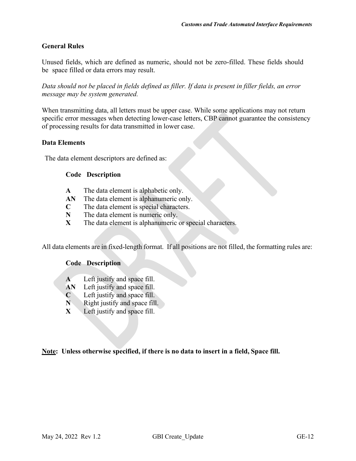#### **General Rules**

Unused fields, which are defined as numeric, should not be zero-filled. These fields should be space filled or data errors may result.

*Data should not be placed in fields defined as filler. If data is present in filler fields, an error message may be system generated.*

When transmitting data, all letters must be upper case. While some applications may not return specific error messages when detecting lower-case letters, CBP cannot guarantee the consistency of processing results for data transmitted in lower case.

#### **Data Elements**

The data element descriptors are defined as:

#### **Code Description**

- **A** The data element is alphabetic only.
- **AN** The data element is alphanumeric only.
- **C** The data element is special characters.
- **N** The data element is numeric only.
- **X** The data element is alphanumeric or special characters.

All data elements are in fixed-length format. If all positions are not filled, the formatting rules are:

#### **Code Description**

- **A** Left justify and space fill.
- **AN** Left justify and space fill.
- **C** Left justify and space fill.
- **N** Right justify and space fill.
- **X** Left justify and space fill.

**Note: Unless otherwise specified, if there is no data to insert in a field, Space fill.**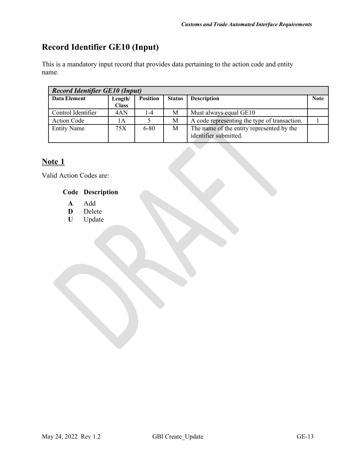# <span id="page-12-0"></span>**Record Identifier GE10 (Input)**

This is a mandatory input record that provides data pertaining to the action code and entity name.

| <b>Record Identifier GE10 (Input)</b> |              |                 |               |                                              |             |  |  |
|---------------------------------------|--------------|-----------------|---------------|----------------------------------------------|-------------|--|--|
| Data Element                          | Length/      | <b>Position</b> | <b>Status</b> | <b>Description</b>                           | <b>Note</b> |  |  |
|                                       | <b>Class</b> |                 |               |                                              |             |  |  |
| Control Identifier                    | 4AN          | 1-4             | Μ             | Must always equal GE10                       |             |  |  |
| <b>Action Code</b>                    | 1А           |                 | М             | A code representing the type of transaction. |             |  |  |
| <b>Entity Name</b>                    | 75X          | $6 - 80$        | М             | The name of the entity represented by the    |             |  |  |
|                                       |              |                 |               | identifier submitted.                        |             |  |  |

# **Note 1**

Valid Action Codes are:

#### **Code Description**

- **A Add**<br>**D** Delet
- **D** Delete<br>**U** Update
- **U** Update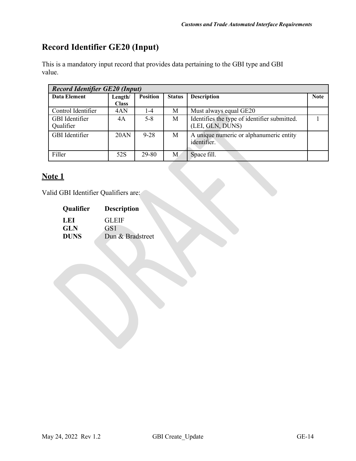# <span id="page-13-0"></span>**Record Identifier GE20 (Input)**

This is a mandatory input record that provides data pertaining to the GBI type and GBI value.

| <b>Record Identifier GE20 (Input)</b> |                 |                                     |                                              |             |  |  |  |
|---------------------------------------|-----------------|-------------------------------------|----------------------------------------------|-------------|--|--|--|
| Length/                               | <b>Position</b> | <b>Description</b><br><b>Status</b> |                                              | <b>Note</b> |  |  |  |
| <b>Class</b>                          |                 |                                     |                                              |             |  |  |  |
| 4AN                                   | $1 - 4$         | М                                   | Must always equal GE20                       |             |  |  |  |
| 4A                                    | $5 - 8$         | М                                   | Identifies the type of identifier submitted. |             |  |  |  |
|                                       |                 |                                     | (LEI, GLN, DUNS)                             |             |  |  |  |
| 20AN                                  | $9 - 28$        | M                                   | A unique numeric or alphanumeric entity      |             |  |  |  |
|                                       |                 |                                     | identifier.                                  |             |  |  |  |
|                                       |                 |                                     |                                              |             |  |  |  |
| 52S                                   | 29-80           | M                                   | Space fill.                                  |             |  |  |  |
|                                       |                 |                                     |                                              |             |  |  |  |

## **Note 1**

Valid GBI Identifier Qualifiers are:

| <b>Qualifier</b> | <b>Description</b> |
|------------------|--------------------|
| L EI             | <b>GLEIF</b>       |
| <b>GLN</b>       | GS1                |
| <b>DUNS</b>      | Dun & Bradstreet   |
|                  |                    |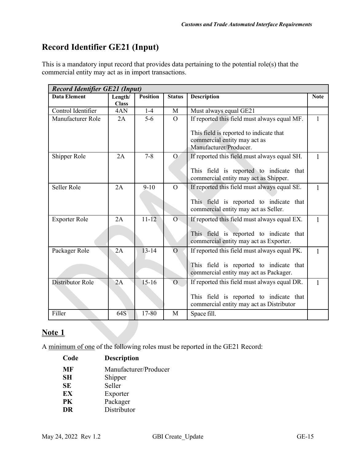# <span id="page-14-0"></span>**Record Identifier GE21 (Input)**

This is a mandatory input record that provides data pertaining to the potential role(s) that the commercial entity may act as in import transactions.

| <b>Record Identifier GE21 (Input)</b> |                         |                 |                |                                                                                                                                     |              |  |  |
|---------------------------------------|-------------------------|-----------------|----------------|-------------------------------------------------------------------------------------------------------------------------------------|--------------|--|--|
| <b>Data Element</b>                   | Length/<br><b>Class</b> | <b>Position</b> | <b>Status</b>  | <b>Description</b>                                                                                                                  | <b>Note</b>  |  |  |
| Control Identifier                    | 4AN                     | $1-4$           | M              | Must always equal GE21                                                                                                              |              |  |  |
| Manufacturer Role                     | 2A                      | $5-6$           | $\overline{O}$ | If reported this field must always equal MF.<br>This field is reported to indicate that<br>commercial entity may act as             | $\mathbf{1}$ |  |  |
|                                       |                         |                 |                | Manufacturer/Producer.                                                                                                              |              |  |  |
| Shipper Role                          | 2A                      | $7 - 8$         | $\Omega$       | If reported this field must always equal SH.<br>This field is reported to indicate that<br>commercial entity may act as Shipper.    | $\mathbf{1}$ |  |  |
| Seller Role                           | 2A                      | $9-10$          | $\overline{O}$ | If reported this field must always equal SE.<br>This field is reported to indicate that<br>commercial entity may act as Seller.     | 1            |  |  |
| <b>Exporter Role</b>                  | 2A                      | $11 - 12$       | $\overline{O}$ | If reported this field must always equal EX.<br>This field is reported to indicate that<br>commercial entity may act as Exporter.   | $\mathbf{1}$ |  |  |
| Packager Role                         | 2A                      | $13 - 14$       | $\overline{O}$ | If reported this field must always equal PK.<br>This field is reported to indicate that<br>commercial entity may act as Packager.   | $\mathbf{1}$ |  |  |
| Distributor Role                      | 2A                      | $15-16$         | $\overline{O}$ | If reported this field must always equal DR.<br>This field is reported to indicate that<br>commercial entity may act as Distributor | $\mathbf{1}$ |  |  |
| Filler                                | 64S                     | 17-80           | M              | Space fill.                                                                                                                         |              |  |  |

## **Note 1**

A minimum of one of the following roles must be reported in the GE21 Record:

| <b>Description</b>    |
|-----------------------|
| Manufacturer/Producer |
| Shipper               |
| Seller                |
| Exporter              |
| Packager              |
| Distributor           |
|                       |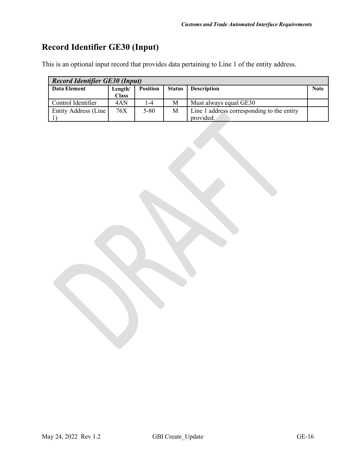# <span id="page-15-0"></span>**Record Identifier GE30 (Input)**

This is an optional input record that provides data pertaining to Line 1 of the entity address.

| <b>Record Identifier GE30 (Input)</b> |              |                             |               |                                            |             |  |
|---------------------------------------|--------------|-----------------------------|---------------|--------------------------------------------|-------------|--|
| Data Element                          | Length/      | <b>Position</b>             | <b>Status</b> | <b>Description</b>                         | <b>Note</b> |  |
|                                       | <b>Class</b> |                             |               |                                            |             |  |
| Control Identifier                    | 4AN          | $\overline{\phantom{0}}$ -4 | M             | Must always equal GE30                     |             |  |
| Entity Address (Line                  | 76X          | $5 - 80$                    | M             | Line 1 address corresponding to the entity |             |  |
|                                       |              |                             |               | provided.                                  |             |  |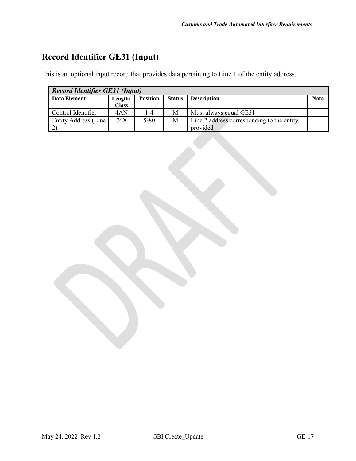# <span id="page-16-0"></span>**Record Identifier GE31 (Input)**

This is an optional input record that provides data pertaining to Line 1 of the entity address.

| <b>Record Identifier GE31 (Input)</b> |              |                             |               |                                            |             |  |
|---------------------------------------|--------------|-----------------------------|---------------|--------------------------------------------|-------------|--|
| Data Element                          | Length/      | <b>Position</b>             | <b>Status</b> | <b>Description</b>                         | <b>Note</b> |  |
|                                       | <b>Class</b> |                             |               |                                            |             |  |
| Control Identifier                    | 4AN          | $\overline{\phantom{0}}$ -4 | М             | Must always equal GE31                     |             |  |
| Entity Address (Line                  | 76X          | $5 - 80$                    | M             | Line 2 address corresponding to the entity |             |  |
|                                       |              |                             |               | provided                                   |             |  |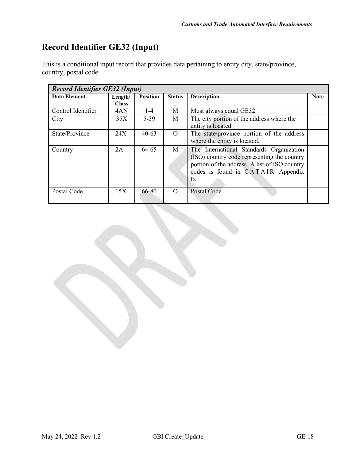# <span id="page-17-0"></span>**Record Identifier GE32 (Input)**

| This is a conditional input record that provides data pertaining to entity city, state/province, |  |
|--------------------------------------------------------------------------------------------------|--|
| country, postal code.                                                                            |  |

| <b>Record Identifier GE32 (Input)</b> |              |                 |               |                                               |             |  |
|---------------------------------------|--------------|-----------------|---------------|-----------------------------------------------|-------------|--|
| Data Element                          | Length/      | <b>Position</b> | <b>Status</b> | <b>Description</b>                            | <b>Note</b> |  |
|                                       | <b>Class</b> |                 |               |                                               |             |  |
| Control Identifier                    | 4AN          | $1 - 4$         | М             | Must always equal GE32                        |             |  |
| City                                  | 35X          | $5 - 39$        | M             | The city portion of the address where the     |             |  |
|                                       |              |                 |               | entity is located.                            |             |  |
| State/Province                        | 24X          | $40 - 63$       | $\Omega$      | The state/province portion of the address     |             |  |
|                                       |              |                 |               | where the entity is located.                  |             |  |
| Country                               | 2A           | 64-65           | M             | The International Standards Organization      |             |  |
|                                       |              |                 |               | (ISO) country code representing the country   |             |  |
|                                       |              |                 |               | portion of the address. A list of ISO country |             |  |
|                                       |              |                 |               | codes is found in CATAIR Appendix             |             |  |
|                                       |              |                 |               | В.                                            |             |  |
|                                       |              |                 |               |                                               |             |  |
| Postal Code                           | 15X          | 66-80           | $\Omega$      | Postal Code                                   |             |  |
|                                       |              |                 |               |                                               |             |  |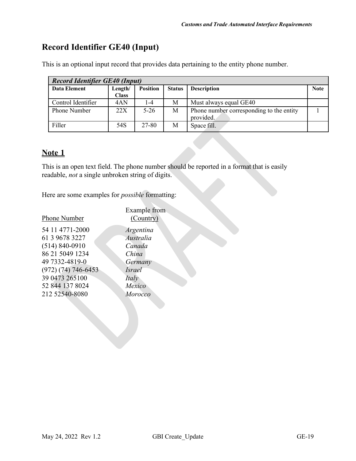# <span id="page-18-0"></span>**Record Identifier GE40 (Input)**

This is an optional input record that provides data pertaining to the entity phone number.

| <b>Record Identifier GE40 (Input)</b> |              |                 |               |                                                       |             |  |
|---------------------------------------|--------------|-----------------|---------------|-------------------------------------------------------|-------------|--|
| Data Element                          | Length/      | <b>Position</b> | <b>Status</b> | <b>Description</b>                                    | <b>Note</b> |  |
|                                       | <b>Class</b> |                 |               |                                                       |             |  |
| Control Identifier                    | 4AN          | $1-4$           | М             | Must always equal GE40                                |             |  |
| <b>Phone Number</b>                   | 22X          | $5-26$          | M             | Phone number corresponding to the entity<br>provided. |             |  |
| Filler                                | 54S          | 27-80           | М             | Space fill.                                           |             |  |
|                                       |              |                 |               |                                                       |             |  |

#### **Note 1**

This is an open text field. The phone number should be reported in a format that is easily readable, *not* a single unbroken string of digits.

Here are some examples for *possible* formatting:

|                         | Example from  |
|-------------------------|---------------|
| <b>Phone Number</b>     | (Country)     |
| 54 11 4771-2000         | Argentina     |
| 61 3 9678 3227          | Australia     |
| $(514) 840 - 0910$      | Canada        |
| 86 21 5049 1234         | China         |
| 49 7332-4819-0          | Germany       |
| $(972) (74) 746 - 6453$ | <i>Israel</i> |
| 39 0473 265 100         | Italy         |
| 52 844 137 8024         | Mexico        |
| 212 52540-8080          | Morocco       |
|                         |               |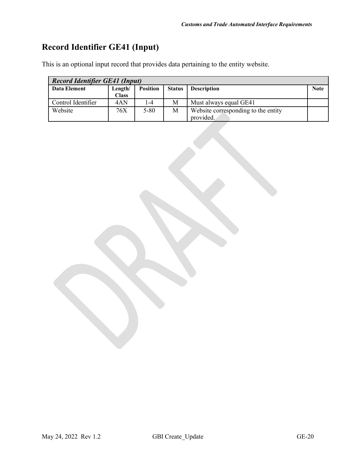# <span id="page-19-0"></span>**Record Identifier GE41 (Input)**

| <b>Record Identifier GE41 (Input)</b> |              |                 |               |                                     |      |
|---------------------------------------|--------------|-----------------|---------------|-------------------------------------|------|
| Data Element                          | Length/      | <b>Position</b> | <b>Status</b> | <b>Description</b>                  | Note |
|                                       | <b>Class</b> |                 |               |                                     |      |
| Control Identifier                    | 4AN          | l -4            | M             | Must always equal GE41              |      |
| Website                               | 76X          | $5 - 80$        | M             | Website corresponding to the entity |      |
|                                       |              |                 |               | provided.                           |      |

This is an optional input record that provides data pertaining to the entity website.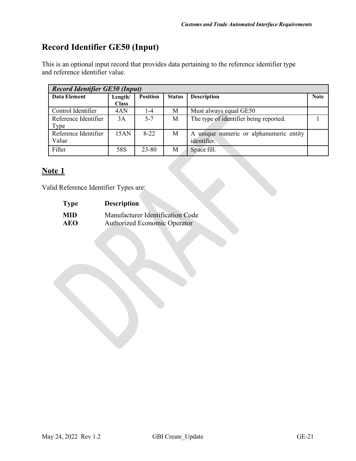# <span id="page-20-0"></span>**Record Identifier GE50 (Input)**

This is an optional input record that provides data pertaining to the reference identifier type and reference identifier value.

| <b>Record Identifier GE50 (Input)</b> |              |                 |               |                                            |             |  |
|---------------------------------------|--------------|-----------------|---------------|--------------------------------------------|-------------|--|
| Data Element                          | Length/      | <b>Position</b> | <b>Status</b> | <b>Description</b>                         | <b>Note</b> |  |
|                                       | <b>Class</b> |                 |               |                                            |             |  |
| Control Identifier                    | 4AN          | $1 - 4$         | М             | Must always equal GE50                     |             |  |
| Reference Identifier                  | 3A           | $5 - 7$         | М             | The type of identifier being reported.     |             |  |
| Type                                  |              |                 |               |                                            |             |  |
| Reference Identifier                  | 15AN         | $8 - 22$        | M             | unique numeric or alphanumeric entity<br>A |             |  |
| Value                                 |              |                 |               | identifier.                                |             |  |
| Filler                                | 58S          | 23-80           | M             | Space fill.                                |             |  |

## **Note 1**

Valid Reference Identifier Types are:

| <b>Type</b> | <b>Description</b>                  |
|-------------|-------------------------------------|
| <b>MID</b>  | Manufacturer Identification Code    |
| <b>AEO</b>  | <b>Authorized Economic Operator</b> |